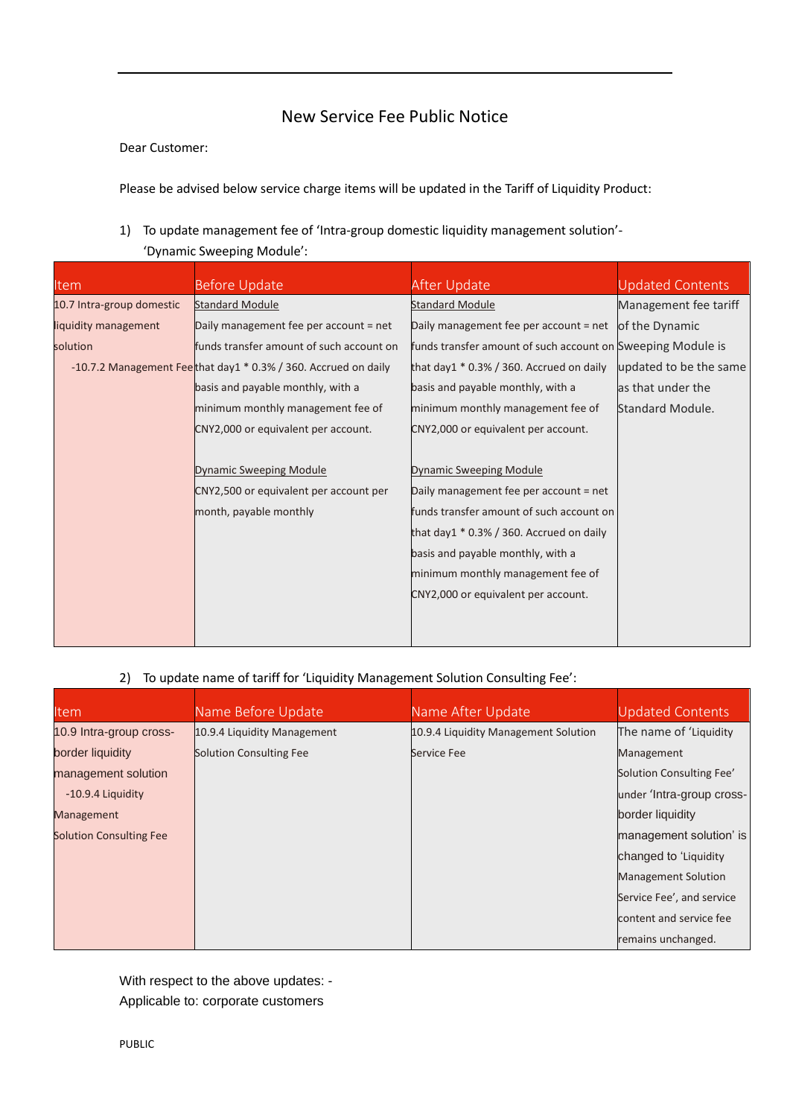## New Service Fee Public Notice

## Dear Customer:

Please be advised below service charge items will be updated in the Tariff of Liquidity Product:

1) To update management fee of 'Intra-group domestic liquidity management solution'-

'Dynamic Sweeping Module':

| <b>Item</b>               | <b>Before Update</b>                                             | After Update                                                | <b>Updated Contents</b> |
|---------------------------|------------------------------------------------------------------|-------------------------------------------------------------|-------------------------|
| 10.7 Intra-group domestic | <b>Standard Module</b>                                           | <b>Standard Module</b>                                      | Management fee tariff   |
| liquidity management      | Daily management fee per account = net                           | Daily management fee per account = net                      | of the Dynamic          |
| solution                  | funds transfer amount of such account on                         | funds transfer amount of such account on Sweeping Module is |                         |
|                           | -10.7.2 Management Feethat day1 $*$ 0.3% / 360. Accrued on daily | that day1 $*$ 0.3% / 360. Accrued on daily                  | updated to be the same  |
|                           | basis and payable monthly, with a                                | basis and payable monthly, with a                           | as that under the       |
|                           | minimum monthly management fee of                                | minimum monthly management fee of                           | Standard Module.        |
|                           | CNY2,000 or equivalent per account.                              | CNY2,000 or equivalent per account.                         |                         |
|                           |                                                                  |                                                             |                         |
|                           | Dynamic Sweeping Module                                          | <b>Dynamic Sweeping Module</b>                              |                         |
|                           | CNY2,500 or equivalent per account per                           | Daily management fee per account = net                      |                         |
|                           | month, payable monthly                                           | funds transfer amount of such account on                    |                         |
|                           |                                                                  | that day1 * 0.3% / 360. Accrued on daily                    |                         |
|                           |                                                                  | basis and payable monthly, with a                           |                         |
|                           |                                                                  | minimum monthly management fee of                           |                         |
|                           |                                                                  | CNY2,000 or equivalent per account.                         |                         |
|                           |                                                                  |                                                             |                         |
|                           |                                                                  |                                                             |                         |

## 2) To update name of tariff for 'Liquidity Management Solution Consulting Fee':

| <u>Item</u>                    | Name Before Update          | Name After Update                    | Updated Contents           |
|--------------------------------|-----------------------------|--------------------------------------|----------------------------|
| 10.9 Intra-group cross-        | 10.9.4 Liquidity Management | 10.9.4 Liquidity Management Solution | The name of 'Liquidity     |
| border liquidity               | Solution Consulting Fee     | Service Fee                          | Management                 |
| management solution            |                             |                                      | Solution Consulting Fee'   |
| -10.9.4 Liquidity              |                             |                                      | under 'Intra-group cross-  |
| Management                     |                             |                                      | border liquidity           |
| <b>Solution Consulting Fee</b> |                             |                                      | management solution' is    |
|                                |                             |                                      | changed to 'Liquidity      |
|                                |                             |                                      | <b>Management Solution</b> |
|                                |                             |                                      | Service Fee', and service  |
|                                |                             |                                      | content and service fee    |
|                                |                             |                                      | remains unchanged.         |

With respect to the above updates: - Applicable to: corporate customers